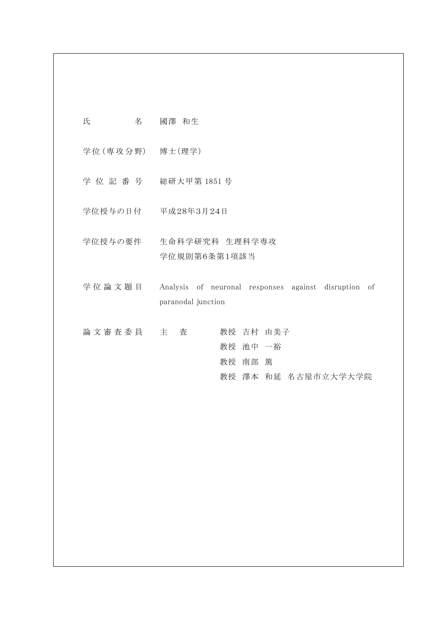## 氏 名 國澤 和生

学 位 (専 攻 分 野) 博士(理学)

- 学 位 記 番 号 総研大甲第 1851 号
- 学位授与の日付 平成28年3月24日
- 学位授与の要件 生命科学研究科 生理科学専攻 学位規則第6条第1項該当
- 学 位 論 文 題 目 Analysis of neuronal responses against disruption of paranodal junction
- 論 文 審 査 委 員 主 主 查 音 数授 吉村 由美子 教授 池中 一裕 教授 南部 篤 教授 澤本 和延 名古屋市立大学大学院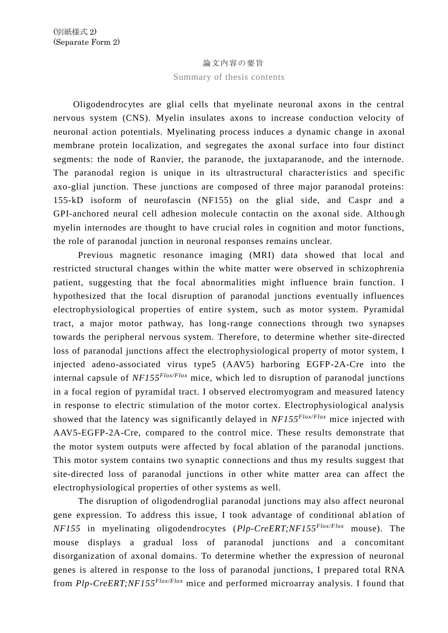## 論文内容の要旨

## Summary of thesis contents

 Oligodendrocytes are glial cells that myelinate neuronal axons in the central nervous system (CNS). Myelin insulates axons to increase conduction velocity of neuronal action potentials. Myelinating process induces a dynamic change in axonal membrane protein localization, and segregates the axonal surface into four distinct segments: the node of Ranvier, the paranode, the juxtaparanode, and the internode. The paranodal region is unique in its ultrastructural characteristics and specific axo-glial junction. These junctions are composed of three major paranodal proteins: 155-kD isoform of neurofascin (NF155) on the glial side, and Caspr and a GPI-anchored neural cell adhesion molecule contactin on the axonal side. Althou gh myelin internodes are thought to have crucial roles in cognition and motor functions, the role of paranodal junction in neuronal responses remains unclear.

 Previous magnetic resonance imaging (MRI) data showed that local and restricted structural changes within the white matter were observed in schizophrenia patient, suggesting that the focal abnormalities might influence brain function. I hypothesized that the local disruption of paranodal junctions eventually influences electrophysiological properties of entire system, such as motor system. Pyramidal tract, a major motor pathway, has long-range connections through two synapses towards the peripheral nervous system. Therefore, to determine whether site-directed loss of paranodal junctions affect the electrophysiological property of motor system, I injected adeno-associated virus type5 (AAV5) harboring EGFP-2A-Cre into the internal capsule of *NF155Flox/Flox* mice, which led to disruption of paranodal junctions in a focal region of pyramidal tract. I observed electromyogram and measured latency in response to electric stimulation of the motor cortex. Electrophysiological analysis showed that the latency was significantly delayed in *NF155Flox/Flox* mice injected with AAV5-EGFP-2A-Cre, compared to the control mice. These results demonstrate that the motor system outputs were affected by focal ablation of the paranodal junctions. This motor system contains two synaptic connections and thus my results suggest that site-directed loss of paranodal junctions in other white matter area can affect the electrophysiological properties of other systems as well.

 The disruption of oligodendroglial paranodal junctions may also affect neuronal gene expression. To address this issue, I took advantage of conditional abl ation of *NF155* in myelinating oligodendrocytes (*Plp-CreERT;NF155Flox/Flox* mouse). The mouse displays a gradual loss of paranodal junctions and a concomitant disorganization of axonal domains. To determine whether the expression of neuronal genes is altered in response to the loss of paranodal junctions, I prepared total RNA from *Plp-CreERT;NF155Flox/Flox* mice and performed microarray analysis. I found that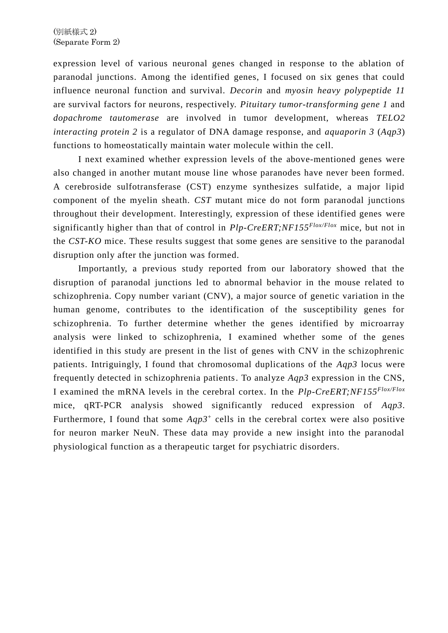expression level of various neuronal genes changed in response to the ablation of paranodal junctions. Among the identified genes, I focused on six genes that could influence neuronal function and survival. *Decorin* and *myosin heavy polypeptide 11* are survival factors for neurons, respectively. *Pituitary tumor-transforming gene 1* and *dopachrome tautomerase* are involved in tumor development, whereas *TELO2 interacting protein 2* is a regulator of DNA damage response, and *aquaporin 3* (*Aqp3*) functions to homeostatically maintain water molecule within the cell.

 I next examined whether expression levels of the above-mentioned genes were also changed in another mutant mouse line whose paranodes have never been formed. A cerebroside sulfotransferase (CST) enzyme synthesizes sulfatide, a major lipid component of the myelin sheath. *CST* mutant mice do not form paranodal junctions throughout their development. Interestingly, expression of these identified genes were significantly higher than that of control in *Plp-CreERT;NF155Flox/Flox* mice, but not in the *CST-KO* mice. These results suggest that some genes are sensitive to the paranodal disruption only after the junction was formed.

 Importantly, a previous study reported from our laboratory showed that the disruption of paranodal junctions led to abnormal behavior in the mouse related to schizophrenia. Copy number variant (CNV), a major source of genetic variation in the human genome, contributes to the identification of the susceptibility genes for schizophrenia. To further determine whether the genes identified by microarray analysis were linked to schizophrenia, I examined whether some of the genes identified in this study are present in the list of genes with CNV in the schizophrenic patients. Intriguingly, I found that chromosomal duplications of the *Aqp3* locus were frequently detected in schizophrenia patients. To analyze *Aqp3* expression in the CNS, I examined the mRNA levels in the cerebral cortex. In the *Plp-CreERT;NF155Flox/Flox* mice, qRT-PCR analysis showed significantly reduced expression of *Aqp3*. Furthermore, I found that some  $Aqp3^+$  cells in the cerebral cortex were also positive for neuron marker NeuN. These data may provide a new insight into the paranodal physiological function as a therapeutic target for psychiatric disorders.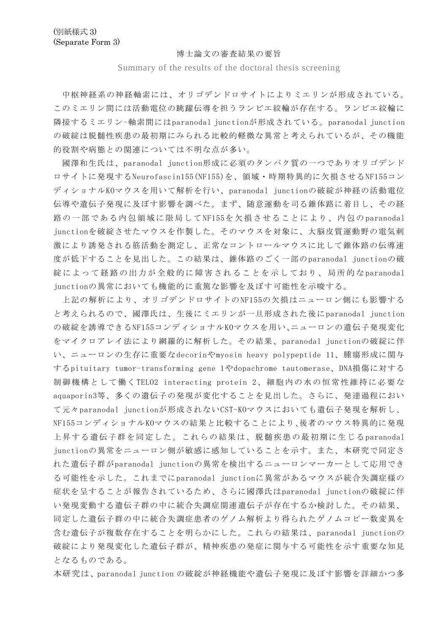## 博士論文の審査結果の要旨

Summary of the results of the doctoral thesis screening

中枢神経系の神経軸索には、オリゴデンドロサイトによりミエリンが形成されている。 このミエリン間には活動電位の跳躍伝導を担うランビエ絞輪が存在する。ランビエ絞輪に 隣接するミエリン-軸索間にはparanodal junctionが形成されている。paranodal junction の破綻は脱髄性疾患の最初期にみられる比較的軽微な異常と考えられているが、その機能 的役割や病態との関連については不明な点が多い。

國澤和生氏は、paranodal junction形成に必須のタンパク質の一つでありオリゴデンド ロサイトに発現するNeurofascin155(NF155)を、領域・時期特異的に欠損させるNF155コン ディショナルKOマウスを用いて解析を行い、paranodal junctionの破綻が神経の活動電位 伝導や遺伝子発現に及ぼす影響を調べた。まず、随意運動を司る錐体路に着目し、その経 路 の 一 部 で あ る 内 包 領 域 に 限 局 し て NF155を 欠 損 さ せ る こ と に よ り 、 内 包 の paranodal junctionを破綻させたマウスを作製した。そのマウスを対象に、大脳皮質運動野の電気刺 激により誘発される筋活動を測定し、正常なコントロールマウスに比して錐体路の伝導速 度が低下することを見出した。この結果は、錐体路のごく一部のparanodal junctionの破 綻 に よ っ て 経 路 の 出 力 が 全 般 的 に 障 害 さ れ る こ と を 示 し て お り 、 局所的な paranodal junctionの異常においても機能的に重篤な影響を及ぼす可能性を示唆する。

上記の解析により、オリゴデンドロサイトのNF155の欠損はニューロン側にも影響する と考えられるので、國澤氏は、生後にミエリンが一旦形成された後にparanodal junction の破綻を誘導できるNF155コンディショナルKOマウスを用い、ニューロンの遺伝子発現変化 をマイクロアレイ法により網羅的に解析した。その結果、paranodal junctionの破綻に伴 い、ニューロンの生存に重要なdecorinやmyosin heavy polypeptide 11、腫瘍形成に関与 するpituitary tumor-transforming gene 1やdopachrome tautomerase、DNA損傷に対する 制御 機 構と し て働 く TELO2 interacting protein 2、細 胞 内の 水 の 恒常 性 維持 に 必要 な aquaporin3等、多くの遺伝子の発現が変化することを見出した。さらに、発達過程におい て元々paranodal junctionが形成されないCST-KOマウスにおいても遺伝子発現を解析し、 NF155コンディショナルKOマウスの結果と比較することにより、後者のマウス特異的に発現 上昇する遺伝子群を同定した 。これらの結果 は、脱髄疾患の最初期に生じるparanodal junctionの異常をニューロン側が敏感に感知していることを示す。また、本研究で同定さ れた遺伝子群がparanodal junctionの異常を検出するニューロンマーカーとして応用でき る可能性を示した。これまでにparanodal junctionに異常があるマウスが統合失調症様の 症状を呈することが報告されているため、さらに國澤氏はparanodal junctionの破綻に伴 い発現変動する遺伝子群の中に統合失調症関連遺伝子が存在するか検討した。その結果、 同定した遺伝子群の中に統合失調症患者のゲノム解析より得られたゲノムコピー数変異を 含む遺伝子が複数存在することを明らかにした。これらの結果は、paranodal junctionの 破綻により発現変化した遺伝子群が、精神疾患の発症に関与する可能性を示す重要な知見 となるものである。

本研究は、paranodal junction の破綻が神経機能や遺伝子発現に及ぼす影響を詳細かつ多